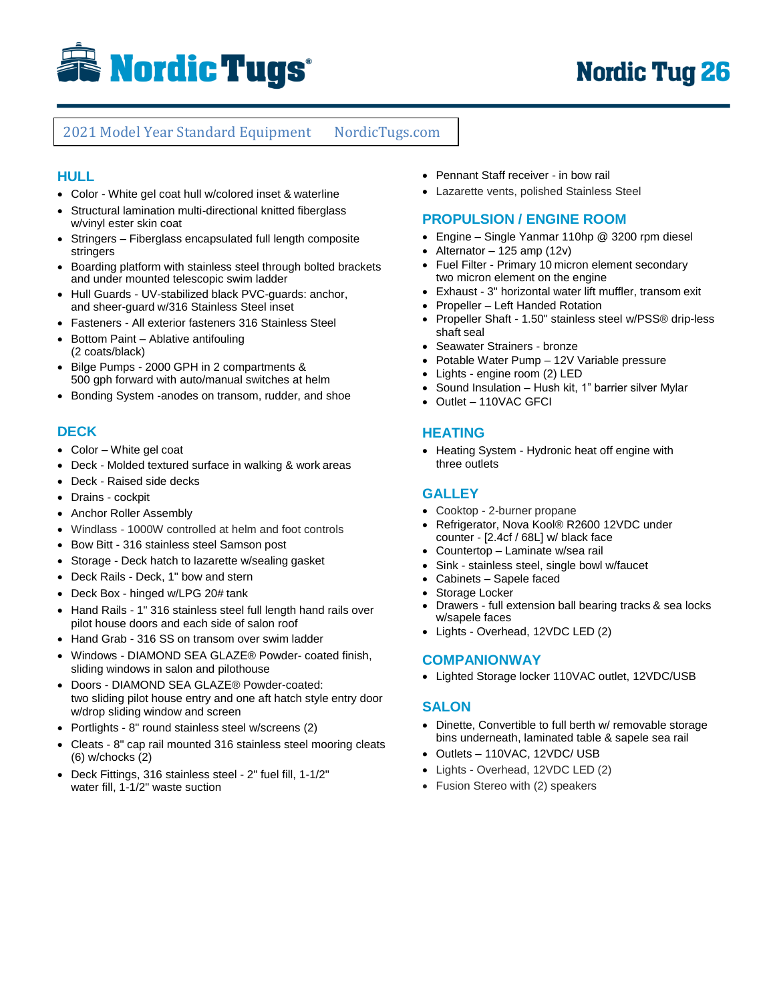

# 2021 Model Year Standard Equipment NordicTugs.com

### **HULL**

- Color White gel coat hull w/colored inset & waterline
- Structural lamination multi-directional knitted fiberglass w/vinyl ester skin coat
- Stringers Fiberglass encapsulated full length composite stringers
- Boarding platform with stainless steel through bolted brackets and under mounted telescopic swim ladder
- Hull Guards UV-stabilized black PVC-guards: anchor, and sheer-guard w/316 Stainless Steel inset
- Fasteners All exterior fasteners 316 Stainless Steel
- Bottom Paint Ablative antifouling (2 coats/black)
- Bilge Pumps 2000 GPH in 2 compartments & 500 gph forward with auto/manual switches at helm
- Bonding System -anodes on transom, rudder, and shoe

### **DECK**

- Color White gel coat
- Deck Molded textured surface in walking & work areas
- Deck Raised side decks
- Drains cockpit
- Anchor Roller Assembly
- Windlass 1000W controlled at helm and foot controls
- Bow Bitt 316 stainless steel Samson post
- Storage Deck hatch to lazarette w/sealing gasket
- Deck Rails Deck, 1" bow and stern
- Deck Box hinged w/LPG 20# tank
- Hand Rails 1" 316 stainless steel full length hand rails over pilot house doors and each side of salon roof
- Hand Grab 316 SS on transom over swim ladder
- Windows DIAMOND SEA GLAZE® Powder- coated finish, sliding windows in salon and pilothouse
- Doors DIAMOND SEA GLAZE® Powder-coated: two sliding pilot house entry and one aft hatch style entry door w/drop sliding window and screen
- Portlights 8" round stainless steel w/screens (2)
- Cleats 8" cap rail mounted 316 stainless steel mooring cleats (6) w/chocks (2)
- Deck Fittings, 316 stainless steel 2" fuel fill, 1-1/2" water fill, 1-1/2" waste suction
- Pennant Staff receiver in bow rail
- Lazarette vents, polished Stainless Steel

#### **PROPULSION / ENGINE ROOM**

- Engine Single Yanmar 110hp @ 3200 rpm diesel
- Alternator  $-125$  amp (12v)
- Fuel Filter Primary 10 micron element secondary two micron element on the engine
- Exhaust 3" horizontal water lift muffler, transom exit
- Propeller Left Handed Rotation
- Propeller Shaft 1.50" stainless steel w/PSS® drip-less shaft seal
- Seawater Strainers bronze
- Potable Water Pump 12V Variable pressure
- Lights engine room (2) LED
- Sound Insulation Hush kit, 1" barrier silver Mylar
- Outlet 110VAC GFCI

#### **HEATING**

• Heating System - Hydronic heat off engine with three outlets

### **GALLEY**

- Cooktop 2-burner propane
- Refrigerator, Nova Kool® R2600 12VDC under counter - [2.4cf / 68L] w/ black face
- Countertop Laminate w/sea rail
- Sink stainless steel, single bowl w/faucet
- Cabinets Sapele faced
- Storage Locker
- Drawers full extension ball bearing tracks & sea locks w/sapele faces
- Lights Overhead, 12VDC LED (2)

#### **COMPANIONWAY**

Lighted Storage locker 110VAC outlet, 12VDC/USB

### **SALON**

- Dinette, Convertible to full berth w/ removable storage bins underneath, laminated table & sapele sea rail
- Outlets 110VAC, 12VDC/ USB
- Lights Overhead, 12VDC LED (2)
- Fusion Stereo with (2) speakers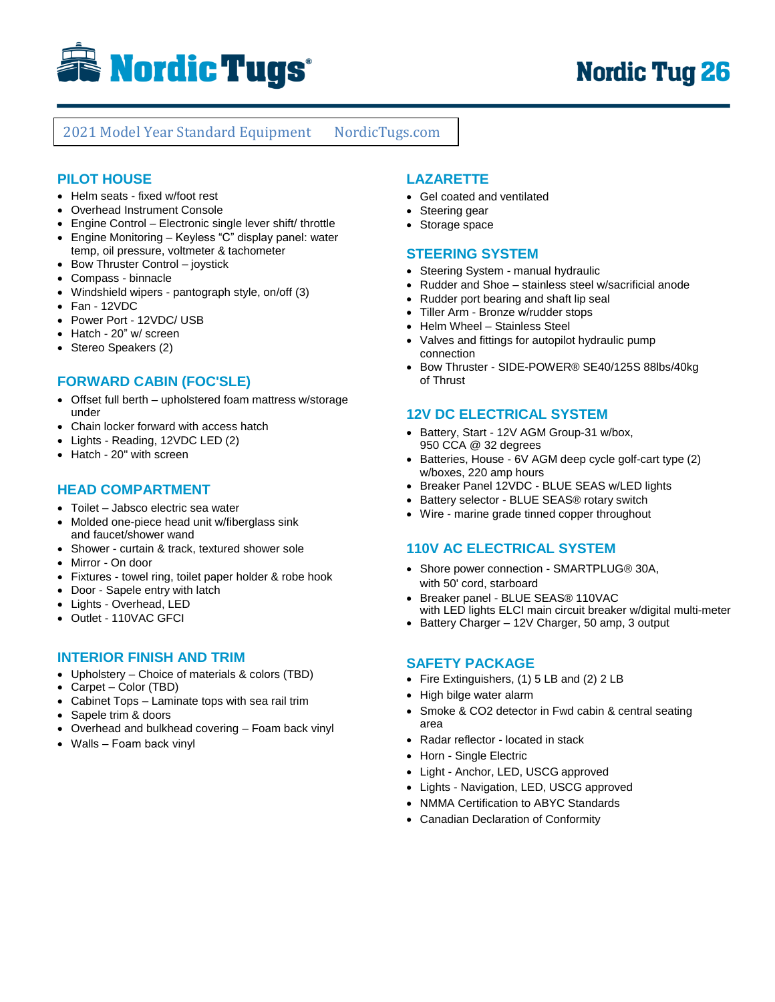

# 2021 Model Year Standard Equipment NordicTugs.com

## **PILOT HOUSE**

- Helm seats fixed w/foot rest
- Overhead Instrument Console
- Engine Control Electronic single lever shift/ throttle Engine Monitoring – Keyless "C" display panel: water
- temp, oil pressure, voltmeter & tachometer
- Bow Thruster Control joystick
- Compass binnacle
- Windshield wipers pantograph style, on/off (3)
- Fan 12VDC
- Power Port 12VDC/ USB
- Hatch 20" w/ screen
- Stereo Speakers (2)

## **FORWARD CABIN (FOC'SLE)**

- Offset full berth upholstered foam mattress w/storage under
- Chain locker forward with access hatch
- Lights Reading, 12VDC LED (2)
- Hatch 20" with screen

#### **HEAD COMPARTMENT**

- Toilet Jabsco electric sea water
- Molded one-piece head unit w/fiberglass sink and faucet/shower wand
- Shower curtain & track, textured shower sole
- Mirror On door
- Fixtures towel ring, toilet paper holder & robe hook
- Door Sapele entry with latch
- Lights Overhead, LED
- Outlet 110VAC GFCI

### **INTERIOR FINISH AND TRIM**

- Upholstery Choice of materials & colors (TBD)
- Carpet Color (TBD)
- Cabinet Tops Laminate tops with sea rail trim
- Sapele trim & doors
- Overhead and bulkhead covering Foam back vinyl
- Walls Foam back vinyl

## **LAZARETTE**

- Gel coated and ventilated
- Steering gear
- Storage space

#### **STEERING SYSTEM**

- Steering System manual hydraulic
- Rudder and Shoe stainless steel w/sacrificial anode
- Rudder port bearing and shaft lip seal
- Tiller Arm Bronze w/rudder stops
- Helm Wheel Stainless Steel
- Valves and fittings for autopilot hydraulic pump connection
- Bow Thruster SIDE-POWER® SE40/125S 88lbs/40kg of Thrust

### **12V DC ELECTRICAL SYSTEM**

- Battery, Start 12V AGM Group-31 w/box, 950 CCA @ 32 degrees
- Batteries, House 6V AGM deep cycle golf-cart type (2) w/boxes, 220 amp hours
- Breaker Panel 12VDC BLUE SEAS w/LED lights
- Battery selector BLUE SEAS® rotary switch
- Wire marine grade tinned copper throughout

### **110V AC ELECTRICAL SYSTEM**

- Shore power connection SMARTPLUG® 30A, with 50' cord, starboard
- Breaker panel BLUE SEAS® 110VAC with LED lights ELCI main circuit breaker w/digital multi-meter
- Battery Charger 12V Charger, 50 amp, 3 output

## **SAFETY PACKAGE**

- Fire Extinguishers, (1) 5 LB and (2) 2 LB
- High bilge water alarm
- Smoke & CO2 detector in Fwd cabin & central seating area
- Radar reflector located in stack
- Horn Single Electric
- Light Anchor, LED, USCG approved
- Lights Navigation, LED, USCG approved
- NMMA Certification to ABYC Standards
- Canadian Declaration of Conformity